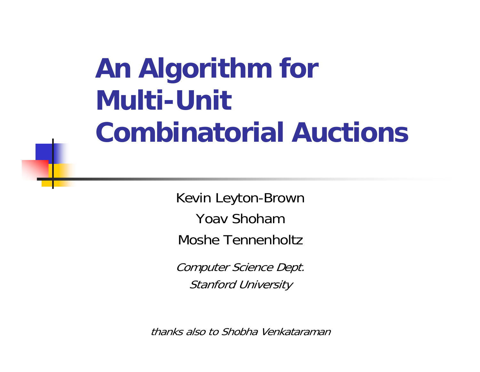# **An Algorithm for Multi-Unit Combinatorial Auctions**

Kevin Leyton-Brown Yoav ShohamMoshe Tennenholtz

Computer Science Dept. Stanford University

thanks also to Shobha Venkataraman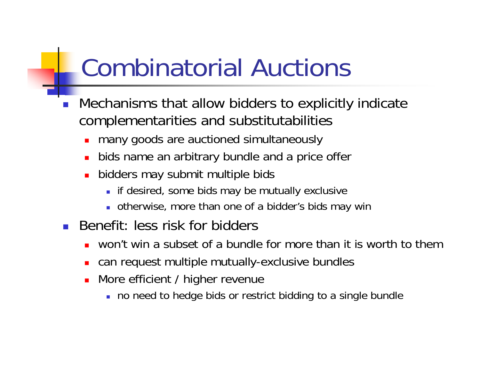## Combinatorial Auctions

- F Mechanisms that allow bidders to explicitly indicate complementarities and substitutabilities
	- many goods are auctioned simultaneously
	- П bids name an arbitrary bundle and a price offer
	- u bidders may submit multiple bids
		- **if desired, some bids may be mutually exclusive**
		- otherwise, more than one of a bidder's bids may win
- $\overline{\phantom{a}}$  Benefit: less risk for bidders
	- П won't win a subset of a bundle for more than it is worth to them
	- П can request multiple mutually-exclusive bundles
	- More efficient / higher revenue
		- no need to hedge bids or restrict bidding to a single bundle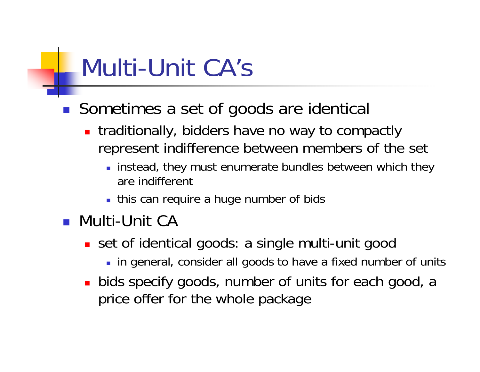### Multi-Unit CA's

- Sometimes a set of goods are identical
	- **traditionally, bidders have no way to compactly** represent indifference between members of the set
		- **Iom** instead, they must enumerate bundles between which they are indifferent
		- **this can require a huge number of bids**
- **Nulti-Unit CA** 
	- set of identical goods: a single multi-unit good
		- in general, consider all goods to have a fixed number of units
	- **bids specify goods, number of units for each good, a** price offer for the whole package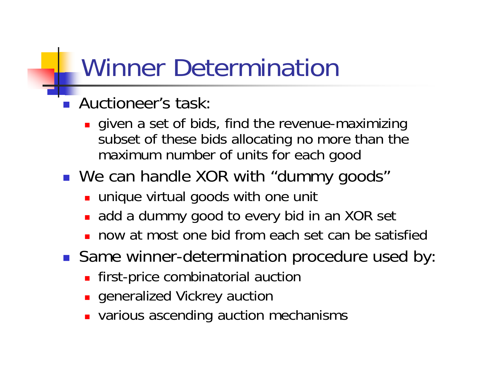### Winner Determination

- **Auctioneer's task:** 
	- **given a set of bids, find the revenue-maximizing** subset of these bids allocating no more than the maximum number of units for each good
- We can handle XOR with "dummy goods"
	- **unique virtual goods with one unit**
	- **add a dummy good to every bid in an XOR set**
	- П now at most one bid from each set can be satisfied
- **Same winner-determination procedure used by:** 
	- **First-price combinatorial auction**
	- **Exercised Vickrey auction**
	- **various ascending auction mechanisms**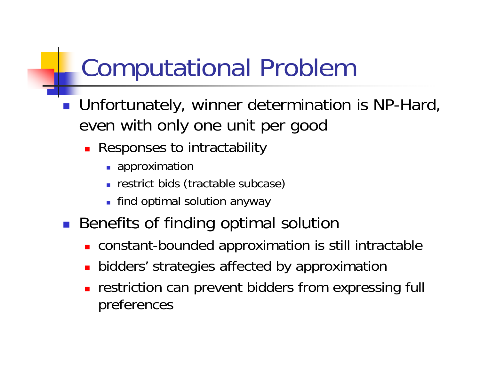# Computational Problem

- Unfortunately, winner determination is NP-Hard, even with only one unit per good
	- **Responses to intractability** 
		- **approximation**
		- **Figure 1 restrict bids (tractable subcase)**
		- **Find optimal solution anyway**
- **Benefits of finding optimal solution** 
	- **CONSTANT-bounded approximation is still intractable**
	- × **Didders' strategies affected by approximation**
	- × restriction can prevent bidders from expressing full preferences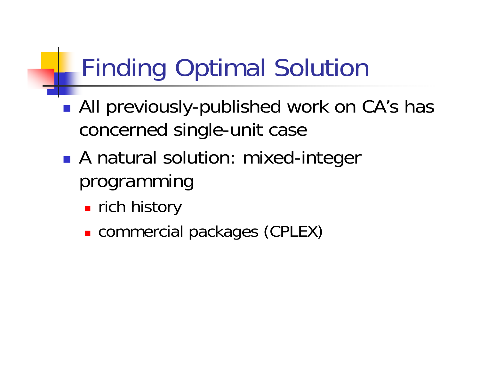# Finding Optimal Solution

- $\mathbb{R}^3$ ■ All previously-published work on CA's has concerned single-unit case
- $\mathbb{R}^3$ **A** natural solution: mixed-integer programming
	- $\blacksquare$  rich history
	- commercial packages (CPLEX)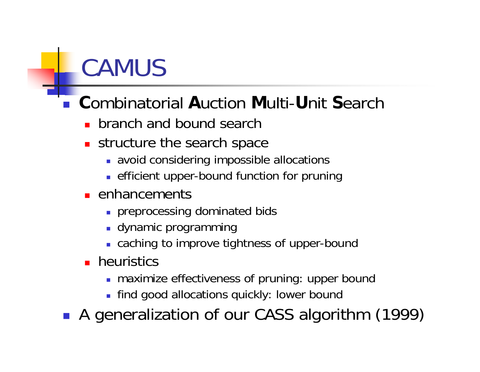## **CAMUS**

#### $\mathbb{R}^n$ **C**ombinatorial **A**uction **M**ulti-**U**nit **S**earch

- **branch and bound search**
- structure the search space
	- avoid considering impossible allocations
	- **EXTENTE:** efficient upper-bound function for pruning
- **E** enhancements
	- **preprocessing dominated bids**
	- **-** dynamic programming
	- caching to improve tightness of upper-bound
- **heuristics** 
	- **n** maximize effectiveness of pruning: upper bound
	- find good allocations quickly: lower bound

A generalization of our CASS algorithm (1999)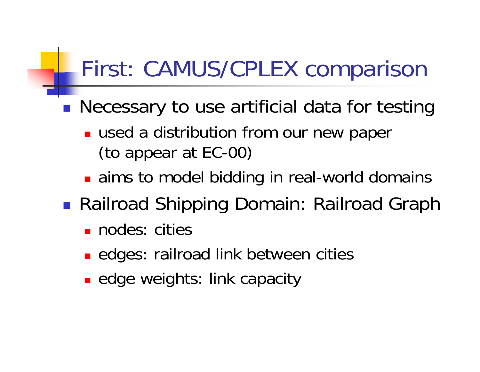### First: CAMUS/CPLEX comparison

 $\mathbb{R}^3$ **Necessary to use artificial data for testing** 

- **used a distribution from our new paper** (to appear at EC-00)
- **aims to model bidding in real-world domains**
- $\mathbb{R}^n$  Railroad Shipping Domain: Railroad Graph
	- nodes: cities
	- **E** edges: railroad link between cities
	- **Example 20 Fights: link capacity**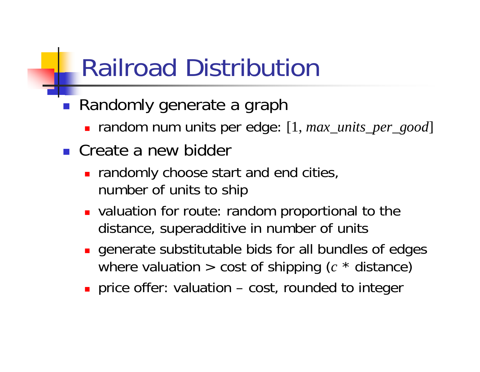### Railroad Distribution

- Randomly generate a graph
	- **The audiom of the units per edge:** [1, *max\_units\_per\_good*]
- **Create a new bidder** 
	- **n** randomly choose start and end cities, number of units to ship
	- **DED** valuation for route: random proportional to the distance, superadditive in number of units
	- **generate substitutable bids for all bundles of edges** where valuation > cost of shipping (*<sup>c</sup>* \* distance)
	- **price offer: valuation cost, rounded to integer**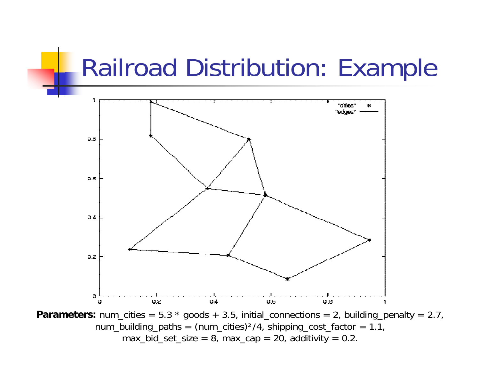### Railroad Distribution: Example



**Parameters:** num\_cities = 5.3 \* goods + 3.5, initial\_connections = 2, building\_penalty = 2.7, num\_building\_paths =  $(num\_cities)^2/4$ , shipping\_cost\_factor = 1.1, max\_bid\_set\_size =  $8$ , max\_cap =  $20$ , additivity =  $0.2$ .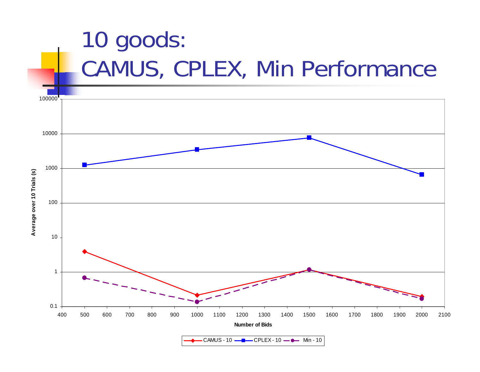

CAMUS - 10 CPLEX - 10 Min - 10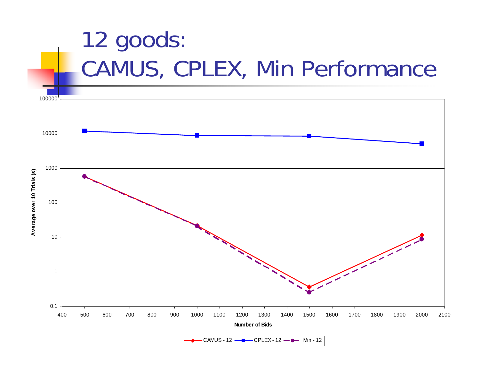

CAMUS - 12 CPLEX - 12 Min - 12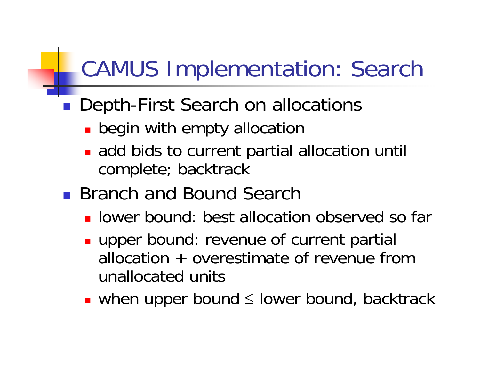### CAMUS Implementation: Search

#### $\mathbb{R}^3$ ■ Depth-First Search on allocations

- **Degin with empty allocation**
- **add bids to current partial allocation until** complete; backtrack
- **Branch and Bound Search** 
	- **I** lower bound: best allocation observed so far
	- **upper bound: revenue of current partial** allocation + overestimate of revenue from unallocated units
	- when upper bound ≤ lower bound, backtrack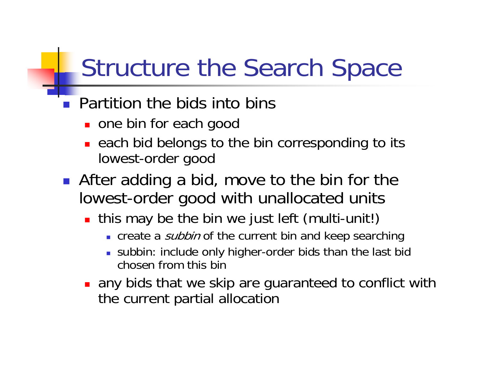### Structure the Search Space

### **Partition the bids into bins**

- **one bin for each good**
- **Example 20 Figure 20 Figure 10 Figure 20 Figure 20 Figure 20 Figure 20 Figure 20 Figure 20 Figure 20 Figure 20** lowest-order good
- **After adding a bid, move to the bin for the** lowest-order good with unallocated units
	- **this may be the bin we just left (multi-unit!)** 
		- **Example a Subbin of the current bin and keep searching**
		- subbin: include only higher-order bids than the last bid chosen from this bin
	- **any bids that we skip are guaranteed to conflict with** the current partial allocation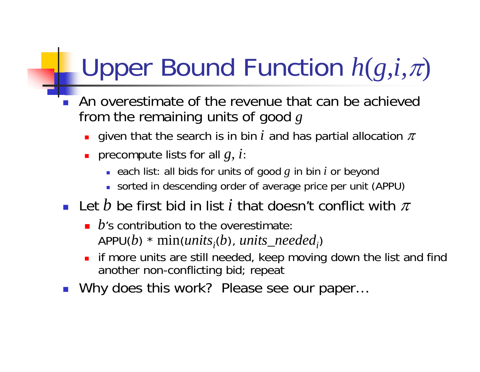# Upper Bound Function *h* (*g,i,* π)

- $\overline{\phantom{a}}$  An overestimate of the revenue that can be achieved from the remaining units of good *g*
	- **-** given that the search is in bin  $i$  and has partial allocation  $\pi$
	- precompute lists for all *g, i*:
		- each list: all bids for units of good *g* in bin *i* or beyond
		- sorted in descending order of average price per unit (APPU)
- **-** Let  $b$  be first bid in list  $i$  that doesn't conflict with  $\pi$ 
	- *b*'s contribution to the overestimate: APPU(*b*) \* min(*units<sub>i</sub>*(*b*), *units\_needed<sub>i</sub>)*
	- П if more units are still needed, keep moving down the list and find another non-conflicting bid; repeat
- $\overline{\phantom{a}}$ Why does this work? Please see our paper…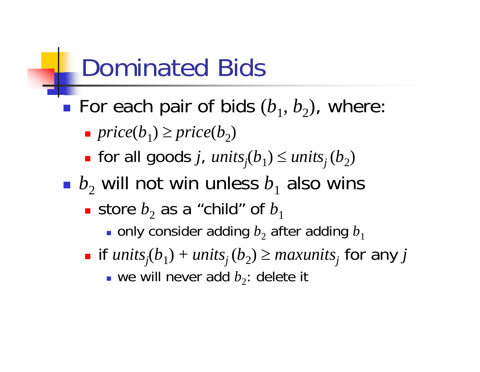### Dominated Bids

- $\mathbb{R}^3$ **For each pair of bids**  $(b_1, b_2)$ , where:
	- *price*( $b_1$ )  $\ge$  *price*( $b_2$ )
	- $\Box$  $\blacksquare$  for all goods *j*,  $units_j(b_1) \le units_j(b_2)$
- $\blacksquare$   $b_2$  will not win unless  $b_1$  also wins
	- $\blacksquare$  store  $b_2$  as a "child" of  $b_1$ 
		- $\blacksquare$  only consider adding  $b^{\vphantom{\dagger}}_2$  after adding  $b^{\vphantom{\dagger}}_1$
	- $\Box$  $\blacksquare$  if  $units_j(b)$  $\mu_{1}$ ) +  $units_{j}$  ( $b_{2}$ )  $\geq$   $maxunits_{j}$  for any  $j$ 
		- **•** we will never add  $b_2$ : delete it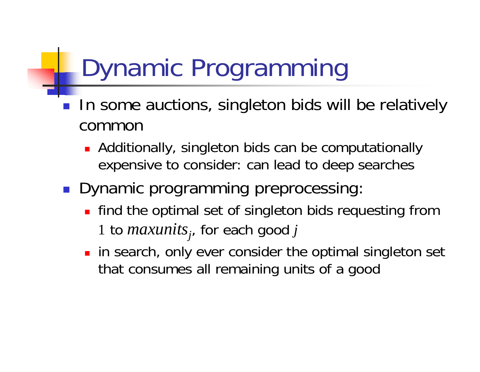# Dynamic Programming

- **IF In some auctions, singleton bids will be relatively** common
	- **Additionally, singleton bids can be computationally** expensive to consider: can lead to deep searches
- **Dynamic programming preprocessing:** 
	- **find the optimal set of singleton bids requesting from** 1 to *maxunits*<sub>j</sub>, for each good j
	- **n** in search, only ever consider the optimal singleton set that consumes all remaining units of a good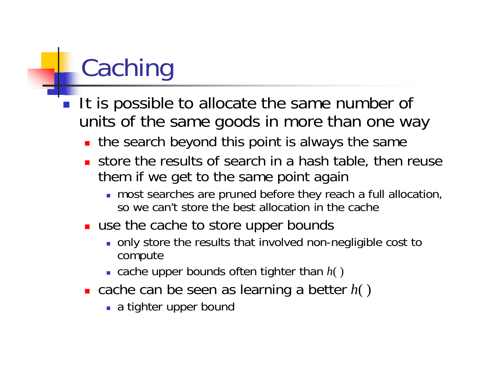# Caching

- **If is possible to allocate the same number of** units of the same goods in more than one way
	- **the search beyond this point is always the same**
	- store the results of search in a hash table, then reuse them if we get to the same point again
		- most searches are pruned before they reach a full allocation, so we can't store the best allocation in the cache
	- use the cache to store upper bounds
		- only store the results that involved non-negligible cost to compute
		- cache upper bounds often tighter than *h*( )
	- cache can be seen as learning a better *h*( )
		- **a** tighter upper bound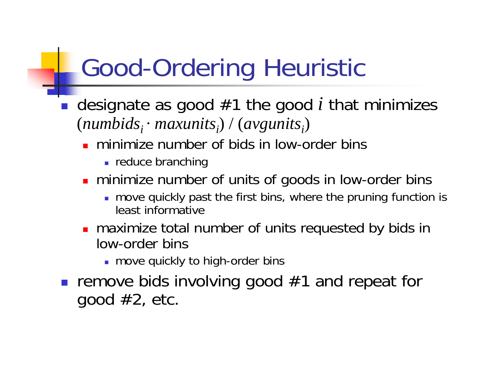# Good-Ordering Heuristic

- designate as good #1 the good *i* that minimizes (numbids<sub>i</sub> · maxunits<sub>i</sub>) / (avgunits<sub>i</sub>)
	- **numimize number of bids in low-order bins** 
		- **Figure branching**
	- **numixem 10 minumber of units of goods in low-order bins** 
		- move quickly past the first bins, where the pruning function is least informative
	- **n** maximize total number of units requested by bids in low-order bins
		- **n** move quickly to high-order bins
- **remove bids involving good**  $#1$  **and repeat for** good  $#2$ , etc.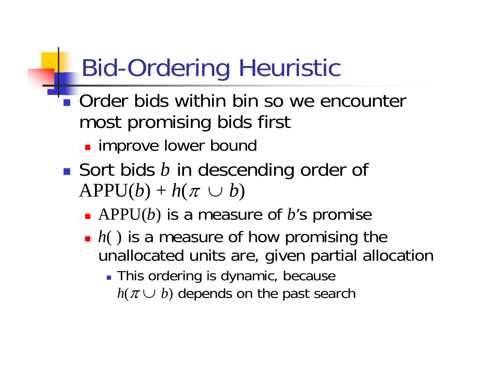# Bid-Ordering Heuristic

- **Order bids within bin so we encounter** most promising bids first
	- **I** improve lower bound
- Sort bids *b* in descending order of  $APPU(b) + h(\pi \cup b)$ 
	- APPU(*b*) is a measure of *b*'s promise
	- *h*() is a measure of how promising the unallocated units are, given partial allocation
		- **This ordering is dynamic, because**  $h(\pi \cup b)$  depends on the past search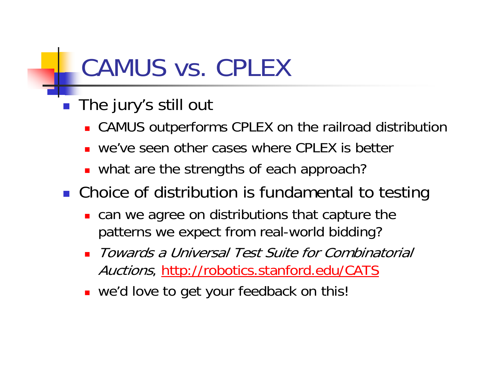### CAMUS vs. CPLEX

- The jury's still out
	- **CAMUS** outperforms CPLEX on the railroad distribution
	- П we've seen other cases where CPLEX is better
	- what are the strengths of each approach?

**• Choice of distribution is fundamental to testing** 

- **.** can we agree on distributions that capture the patterns we expect from real-world bidding?
- Towards a Universal Test Suite for Combinatorial Auctions,<http://robotics.stanford.edu/CATS>
- **.** we'd love to get your feedback on this!